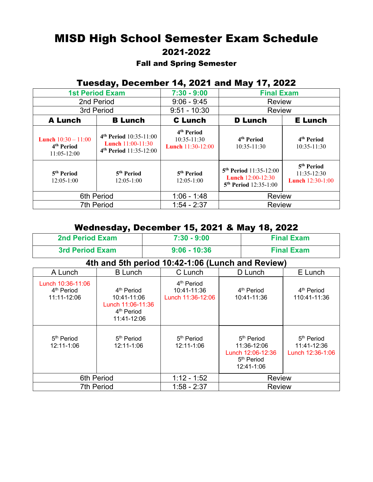# MISD High School Semester Exam Schedule 2021-2022

#### Fall and Spring Semester

## Tuesday, December 14, 2021 and May 17, 2022

| <b>1st Period Exam</b>                                                  |                                                                                                        | $7:30 - 9:00$                                                     | <b>Final Exam</b>                                                                  |                                                                    |
|-------------------------------------------------------------------------|--------------------------------------------------------------------------------------------------------|-------------------------------------------------------------------|------------------------------------------------------------------------------------|--------------------------------------------------------------------|
| 2nd Period                                                              |                                                                                                        | $9:06 - 9:45$                                                     | <b>Review</b>                                                                      |                                                                    |
| 3rd Period                                                              |                                                                                                        | $9:51 - 10:30$                                                    | <b>Review</b>                                                                      |                                                                    |
| <b>A Lunch</b>                                                          | <b>B</b> Lunch                                                                                         | <b>C</b> Lunch                                                    | <b>D</b> Lunch<br><b>E</b> Lunch                                                   |                                                                    |
| <b>Lunch</b> $10:30 - 11:00$<br>4 <sup>th</sup> Period<br>$11:05-12:00$ | 4 <sup>th</sup> Period 10:35-11:00<br><b>Lunch</b> $11:00-11:30$<br>4 <sup>th</sup> Period 11:35-12:00 | 4 <sup>th</sup> Period<br>10:35-11:30<br><b>Lunch</b> 11:30-12:00 | 4 <sup>th</sup> Period<br>$10:35-11:30$                                            | 4 <sup>th</sup> Period<br>10:35-11:30                              |
| 5 <sup>th</sup> Period<br>$12:05-1:00$                                  | 5 <sup>th</sup> Period<br>$12:05-1:00$                                                                 | 5 <sup>th</sup> Period<br>$12:05-1:00$                            | $5th Period 11:35-12:00$<br>Lunch 12:00-12:30<br>5 <sup>th</sup> Period 12:35-1:00 | 5 <sup>th</sup> Period<br>$11:35-12:30$<br><b>Lunch</b> 12:30-1:00 |
| 6th Period                                                              |                                                                                                        | $1:06 - 1:48$                                                     | Review                                                                             |                                                                    |
| <b>7th Period</b>                                                       |                                                                                                        | $1:54 - 2:37$                                                     | <b>Review</b>                                                                      |                                                                    |

#### Wednesday, December 15, 2021 & May 18, 2022

| <b>2nd Period Exam</b>                                     |                                                                                                     | $7:30 - 9:00$                                              |                                                                                                    | <b>Final Exam</b>                                         |  |
|------------------------------------------------------------|-----------------------------------------------------------------------------------------------------|------------------------------------------------------------|----------------------------------------------------------------------------------------------------|-----------------------------------------------------------|--|
| <b>3rd Period Exam</b>                                     |                                                                                                     | $9:06 - 10:36$                                             |                                                                                                    | <b>Final Exam</b>                                         |  |
| 4th and 5th period 10:42-1:06 (Lunch and Review)           |                                                                                                     |                                                            |                                                                                                    |                                                           |  |
| A Lunch                                                    | <b>B</b> Lunch                                                                                      | C Lunch                                                    | D Lunch                                                                                            | E Lunch                                                   |  |
| Lunch 10:36-11:06<br>4 <sup>th</sup> Period<br>11:11-12:06 | 4 <sup>th</sup> Period<br>10:41-11:06<br>Lunch 11:06-11:36<br>4 <sup>th</sup> Period<br>11:41-12:06 | 4 <sup>th</sup> Period<br>10:41-11:36<br>Lunch 11:36-12:06 | 4 <sup>th</sup> Period<br>10:41-11:36                                                              | 4 <sup>th</sup> Period<br>110:41-11:36                    |  |
| 5 <sup>th</sup> Period<br>12:11-1:06                       | 5 <sup>th</sup> Period<br>12:11-1:06                                                                | 5 <sup>th</sup> Period<br>12:11-1:06                       | 5 <sup>th</sup> Period<br>11:36-12:06<br>Lunch 12:06-12:36<br>5 <sup>th</sup> Period<br>12:41-1:06 | 5 <sup>th</sup> Period<br>11:41-12:36<br>Lunch 12:36-1:06 |  |
| 6th Period                                                 |                                                                                                     | $1:12 - 1:52$                                              | <b>Review</b>                                                                                      |                                                           |  |
| 7th Period                                                 |                                                                                                     | $1:58 - 2:37$                                              | <b>Review</b>                                                                                      |                                                           |  |